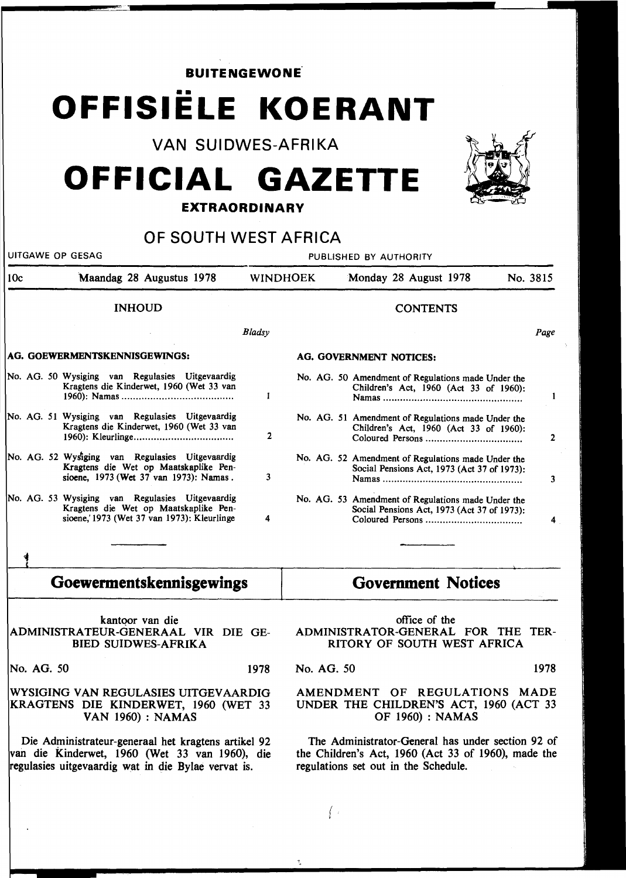| <b>BUITENGEWONE</b>                                                                                                                                          |                                                                                                                                        |               |                                                                                                                                                  |                                                                                                                       |          |                |
|--------------------------------------------------------------------------------------------------------------------------------------------------------------|----------------------------------------------------------------------------------------------------------------------------------------|---------------|--------------------------------------------------------------------------------------------------------------------------------------------------|-----------------------------------------------------------------------------------------------------------------------|----------|----------------|
|                                                                                                                                                              | OFFISIELE KOERANT                                                                                                                      |               |                                                                                                                                                  |                                                                                                                       |          |                |
|                                                                                                                                                              | <b>VAN SUIDWES-AFRIKA</b>                                                                                                              |               |                                                                                                                                                  |                                                                                                                       |          |                |
|                                                                                                                                                              | OFFICIAL GAZETTE                                                                                                                       |               |                                                                                                                                                  |                                                                                                                       |          |                |
|                                                                                                                                                              | <b>EXTRAORDINARY</b>                                                                                                                   |               |                                                                                                                                                  |                                                                                                                       |          |                |
|                                                                                                                                                              | OF SOUTH WEST AFRICA                                                                                                                   |               |                                                                                                                                                  |                                                                                                                       |          |                |
| UITGAWE OP GESAG                                                                                                                                             |                                                                                                                                        |               | PUBLISHED BY AUTHORITY                                                                                                                           |                                                                                                                       |          |                |
| 10c                                                                                                                                                          | Maandag 28 Augustus 1978                                                                                                               |               | <b>WINDHOEK</b>                                                                                                                                  | Monday 28 August 1978                                                                                                 | No. 3815 |                |
|                                                                                                                                                              | <b>INHOUD</b>                                                                                                                          |               |                                                                                                                                                  | <b>CONTENTS</b>                                                                                                       |          |                |
|                                                                                                                                                              |                                                                                                                                        | <b>Bladsy</b> |                                                                                                                                                  |                                                                                                                       |          | Page           |
| AG. GOEWERMENTSKENNISGEWINGS:                                                                                                                                |                                                                                                                                        |               |                                                                                                                                                  | <b>AG. GOVERNMENT NOTICES:</b>                                                                                        |          |                |
|                                                                                                                                                              | No. AG. 50 Wysiging van Regulasies Uitgevaardig<br>Kragtens die Kinderwet, 1960 (Wet 33 van                                            | 1             |                                                                                                                                                  | No. AG. 50 Amendment of Regulations made Under the<br>Children's Act, 1960 (Act 33 of 1960):                          |          | $\mathbf{1}$   |
|                                                                                                                                                              | No. AG. 51 Wysiging van Regulasies Uitgevaardig<br>Kragtens die Kinderwet, 1960 (Wet 33 van                                            | $\mathbf{2}$  |                                                                                                                                                  | No. AG. 51 Amendment of Regulations made Under the<br>Children's Act, 1960 (Act 33 of 1960):                          |          | $\overline{2}$ |
|                                                                                                                                                              | No. AG. 52 Wysiging van Regulasies Uitgevaardig<br>Kragtens die Wet op Maatskaplike Pen-<br>sioene, 1973 (Wet 37 van 1973): Namas.     | 3             |                                                                                                                                                  | No. AG. 52 Amendment of Regulations made Under the<br>Social Pensions Act, 1973 (Act 37 of 1973):                     |          | 3              |
|                                                                                                                                                              | No. AG. 53 Wysiging van Regulasies Uitgevaardig<br>Kragtens die Wet op Maatskaplike Pen-<br>sioene, 1973 (Wet 37 van 1973): Kleurlinge | A             |                                                                                                                                                  | No. AG. 53 Amendment of Regulations made Under the<br>Social Pensions Act, 1973 (Act 37 of 1973):<br>Coloured Persons |          |                |
|                                                                                                                                                              |                                                                                                                                        |               |                                                                                                                                                  |                                                                                                                       |          |                |
| Goewermentskennisgewings                                                                                                                                     |                                                                                                                                        |               | <b>Government Notices</b>                                                                                                                        |                                                                                                                       |          |                |
| kantoor van die<br>ADMINISTRATEUR-GENERAAL VIR DIE GE-<br><b>BIED SUIDWES-AFRIKA</b>                                                                         |                                                                                                                                        |               | office of the<br>ADMINISTRATOR-GENERAL FOR THE TER-<br>RITORY OF SOUTH WEST AFRICA                                                               |                                                                                                                       |          |                |
| No. AG. 50                                                                                                                                                   |                                                                                                                                        | 1978          | No. AG. 50                                                                                                                                       |                                                                                                                       |          | 1978           |
| WYSIGING VAN REGULASIES UITGEVAARDIG<br>KRAGTENS DIE KINDERWET, 1960 (WET 33<br><b>VAN 1960) : NAMAS</b>                                                     |                                                                                                                                        |               | AMENDMENT OF REGULATIONS MADE<br>UNDER THE CHILDREN'S ACT, 1960 (ACT 33<br><b>OF 1960) : NAMAS</b>                                               |                                                                                                                       |          |                |
| Die Administrateur-generaal het kragtens artikel 92<br>van die Kinderwet, 1960 (Wet 33 van 1960), die<br>regulasies uitgevaardig wat in die Bylae vervat is. |                                                                                                                                        |               | The Administrator-General has under section 92 of<br>the Children's Act, 1960 (Act 33 of 1960), made the<br>regulations set out in the Schedule. |                                                                                                                       |          |                |
|                                                                                                                                                              |                                                                                                                                        |               |                                                                                                                                                  |                                                                                                                       |          |                |

'

1,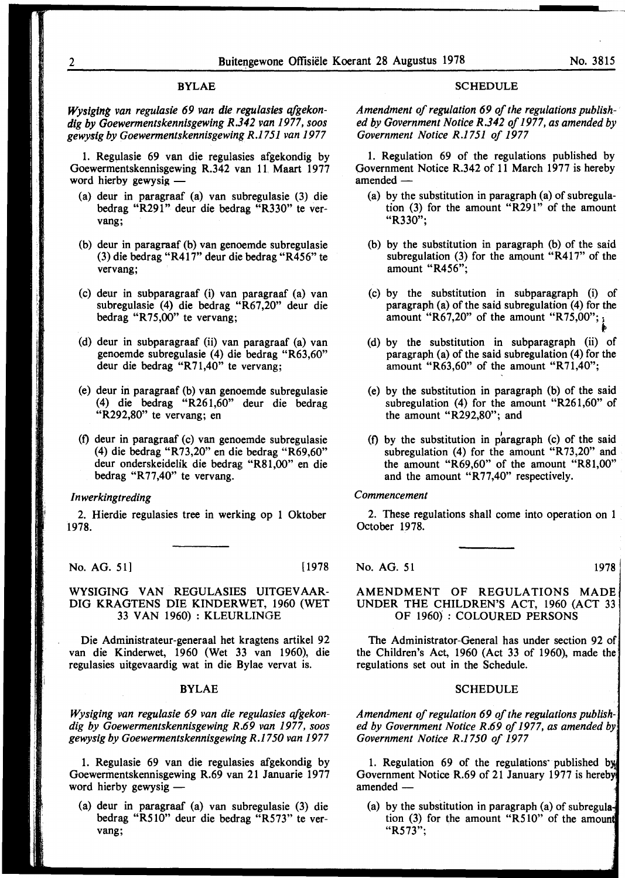# BYLAE

*Wysiglng van regulasie 69 van die regulasies qfgekondig by Goewermentskennisgewing R.342 van 1977, soos gewysig by Goewermentskennisgewing R.1751 van 1977* 

1. Regulasie 69 van die regulasies afgekondig by Goewermentskennisgewing R.342 van 11 Maart 1977 word hierby gewysig -

- (a) deur in paragraaf (a) van subregulasie (3) die bedrag "R291" deur die bedrag "R330" te vervang;
- (b) deur in paragraaf (b) van genoemde subregulasie (3) die bedrag "R417" deur die bedrag "R456" te vervang;
- (c) deur in subparagraaf (i) van paragraaf (a) van subregulasie (4) die bedrag "R67,20" deur die bedrag "R75,00" te vervang;
- (d) deur in subparagraaf (ii) van paragraaf (a) van genoemde subregulasie (4) die bedrag "R63,60" deur die bedrag "R71,40" te vervang;
- (e) deur in paragraaf (b) van genoemde subregulasie ( 4) die bedrag "R261 ,60" deur die bedrag "R292,80" te vervang; en
- (f) deur in paragraaf (c) van genoemde subregulasie (4) die bedrag "R73,20" en die bedrag "R69,60" deur onderskeidelik die bedrag "R81,00" en die bedrag "R77,40" te vervang.

# *Inwerkingtreding*

2. Hierdie regulasies tree in werking op 1 Oktober 1978.

No. AG. 51] [1978]

## WYSIGING VAN REGULASIES UITGEVAAR-DIG KRAGTENS DIE KINDERWET, 1960 (WET 33 VAN 1960) : KLEURLINGE

Die Administrateur-generaal bet kragtens artikel 92 van die Kinderwet, 1960 (Wet 33 van 1960), die regulasies uitgevaardig wat in die Bylae vervat is.

## BYLAE

*Wysiging van regulasie 69 van die regulasies afgekondig by Goewermentskennisgewing R.69 van 1977, soos gewysig by Goewermentskennisgewing R.1750 van 1977* 

1. Regulasie 69 van die regulasies afgekondig by Goewermentskennisgewing R.69 van 21 Januarie 1977 word hierby gewysig  $-$ 

(a) deur in paragraaf (a) van subregulasie (3) die bedrag "R510" deur die bedrag "R573" te vervang;

#### SCHEDULE

*Amendment of regulation 69 of the regulations published by Government Notice R.342 of 1977, as amended by Government Notice R.1751 of 1977* 

1. Regulation 69 of the regulations published by Government Notice R.342 of 11 March 1977 is hereby amended -

- (a) by the substitution in paragraph (a) of subregulation (3) for the amount "R291" of the amount "R330";
- (b) by the substitution in paragraph (b) of the said subregulation  $(3)$  for the amount "R417" of the amount "R456";
- (c) by the substitution in subparagraph (i) of paragraph (a) of the said subregulation (4) for the amount "R67,20" of the amount "R75,00";  $\frac{1}{8}$
- (d) by the substitution in subparagraph (ii) of paragraph (a) of the said subregulation (4) for the amount "R63,60" of the amount "R71,40";
- (e) by the substitution in paragraph (b) of the said subregulation (4) for the amount "R261,60" of the amount "R292,80"; and
- (f) by the substitution in p 1 aragraph (c) of the said subregulation (4) for the amount "R73,20" and the amount "R69,60" of the amount "R81,00" and the amount "R77,40" respectively.

# *Commencement*

2. These regulations shall come into operation on 1 October 1978.

No. AG. 51 1978

# AMENDMENT OF REGULATIONS MADE UNDER THE CHILDREN'S ACT, 1960 (ACT 33 OF 1960) : COLOURED PERSONS

The Administrator-General has under section 92 of the Children's Act, 1960 (Act 33 of 1960), made the regulations set out in the Schedule.

# **SCHEDULE**

*Amendment of regulation 69 of the regulations published by Government Notice R.69 of 1977, as amended Government Notice R.1750 of 1977* 

1. Regulation 69 of the regulations published by Government Notice R.69 of 21 January 1977 is hereby amended -

(a) by the substitution in paragraph (a) of subregulation  $(3)$  for the amount "R510" of the amount "R573";